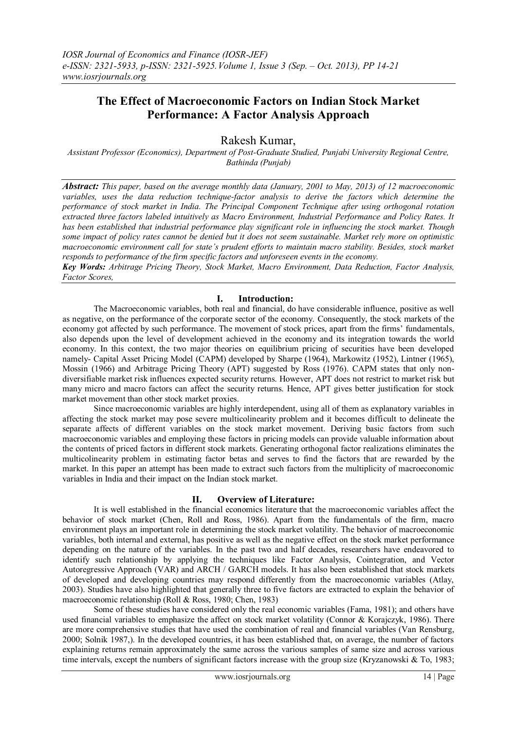# **The Effect of Macroeconomic Factors on Indian Stock Market Performance: A Factor Analysis Approach**

Rakesh Kumar,

*Assistant Professor (Economics), Department of Post-Graduate Studied, Punjabi University Regional Centre, Bathinda (Punjab)*

*Abstract: This paper, based on the average monthly data (January, 2001 to May, 2013) of 12 macroeconomic variables, uses the data reduction technique-factor analysis to derive the factors which determine the performance of stock market in India. The Principal Component Technique after using orthogonal rotation extracted three factors labeled intuitively as Macro Environment, Industrial Performance and Policy Rates. It has been established that industrial performance play significant role in influencing the stock market. Though some impact of policy rates cannot be denied but it does not seem sustainable. Market rely more on optimistic macroeconomic environment call for state's prudent efforts to maintain macro stability. Besides, stock market responds to performance of the firm specific factors and unforeseen events in the economy.*

*Key Words: Arbitrage Pricing Theory, Stock Market, Macro Environment, Data Reduction, Factor Analysis, Factor Scores,*

#### **I. Introduction:**

The Macroeconomic variables, both real and financial, do have considerable influence, positive as well as negative, on the performance of the corporate sector of the economy. Consequently, the stock markets of the economy got affected by such performance. The movement of stock prices, apart from the firms' fundamentals, also depends upon the level of development achieved in the economy and its integration towards the world economy. In this context, the two major theories on equilibrium pricing of securities have been developed namely- Capital Asset Pricing Model (CAPM) developed by Sharpe (1964), Markowitz (1952), Lintner (1965), Mossin (1966) and Arbitrage Pricing Theory (APT) suggested by Ross (1976). CAPM states that only nondiversifiable market risk influences expected security returns. However, APT does not restrict to market risk but many micro and macro factors can affect the security returns. Hence, APT gives better justification for stock market movement than other stock market proxies.

Since macroeconomic variables are highly interdependent, using all of them as explanatory variables in affecting the stock market may pose severe multicolinearity problem and it becomes difficult to delineate the separate affects of different variables on the stock market movement. Deriving basic factors from such macroeconomic variables and employing these factors in pricing models can provide valuable information about the contents of priced factors in different stock markets. Generating orthogonal factor realizations eliminates the multicolinearity problem in estimating factor betas and serves to find the factors that are rewarded by the market. In this paper an attempt has been made to extract such factors from the multiplicity of macroeconomic variables in India and their impact on the Indian stock market.

#### **II. Overview of Literature:**

It is well established in the financial economics literature that the macroeconomic variables affect the behavior of stock market (Chen, Roll and Ross, 1986). Apart from the fundamentals of the firm, macro environment plays an important role in determining the stock market volatility. The behavior of macroeconomic variables, both internal and external, has positive as well as the negative effect on the stock market performance depending on the nature of the variables. In the past two and half decades, researchers have endeavored to identify such relationship by applying the techniques like Factor Analysis, Cointegration, and Vector Autoregressive Approach (VAR) and ARCH / GARCH models. It has also been established that stock markets of developed and developing countries may respond differently from the macroeconomic variables (Atlay, 2003). Studies have also highlighted that generally three to five factors are extracted to explain the behavior of macroeconomic relationship (Roll & Ross, 1980; Chen, 1983)

Some of these studies have considered only the real economic variables (Fama, 1981); and others have used financial variables to emphasize the affect on stock market volatility (Connor & Korajczyk, 1986). There are more comprehensive studies that have used the combination of real and financial variables (Van Rensburg, 2000; Solnik 1987,). In the developed countries, it has been established that, on average, the number of factors explaining returns remain approximately the same across the various samples of same size and across various time intervals, except the numbers of significant factors increase with the group size (Kryzanowski & To, 1983;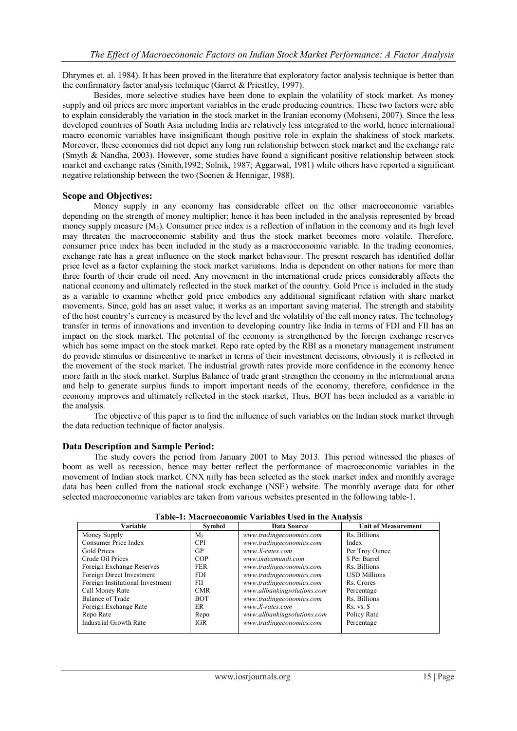Dhrymes et. al. 1984). It has been proved in the literature that exploratory factor analysis technique is better than the confirmatory factor analysis technique (Garret & Priestley, 1997).

Besides, more selective studies have been done to explain the volatility of stock market. As money supply and oil prices are more important variables in the crude producing countries. These two factors were able to explain considerably the variation in the stock market in the Iranian economy (Mohseni, 2007). Since the less developed countries of South Asia including India are relatively less integrated to the world, hence international macro economic variables have insignificant though positive role in explain the shakiness of stock markets. Moreover, these economies did not depict any long run relationship between stock market and the exchange rate (Smyth & Nandha, 2003). However, some studies have found a significant positive relationship between stock market and exchange rates (Smith,1992; Solnik, 1987; Aggarwal, 1981) while others have reported a significant negative relationship between the two (Soenen & Hennigar, 1988).

#### **Scope and Objectives:**

Money supply in any economy has considerable effect on the other macroeconomic variables depending on the strength of money multiplier; hence it has been included in the analysis represented by broad money supply measure  $(M_3)$ . Consumer price index is a reflection of inflation in the economy and its high level may threaten the macroeconomic stability and thus the stock market becomes more volatile. Therefore, consumer price index has been included in the study as a macroeconomic variable. In the trading economies, exchange rate has a great influence on the stock market behaviour. The present research has identified dollar price level as a factor explaining the stock market variations. India is dependent on other nations for more than three fourth of their crude oil need. Any movement in the international crude prices considerably affects the national economy and ultimately reflected in the stock market of the country. Gold Price is included in the study as a variable to examine whether gold price embodies any additional significant relation with share market movements. Since, gold has an asset value; it works as an important saving material. The strength and stability of the host country's currency is measured by the level and the volatility of the call money rates. The technology transfer in terms of innovations and invention to developing country like India in terms of FDI and FII has an impact on the stock market. The potential of the economy is strengthened by the foreign exchange reserves which has some impact on the stock market. Repo rate opted by the RBI as a monetary management instrument do provide stimulus or disincentive to market in terms of their investment decisions, obviously it is reflected in the movement of the stock market. The industrial growth rates provide more confidence in the economy hence more faith in the stock market. Surplus Balance of trade grant strengthen the economy in the international arena and help to generate surplus funds to import important needs of the economy, therefore, confidence in the economy improves and ultimately reflected in the stock market, Thus, BOT has been included as a variable in the analysis.

The objective of this paper is to find the influence of such variables on the Indian stock market through the data reduction technique of factor analysis.

#### **Data Description and Sample Period:**

The study covers the period from January 2001 to May 2013. This period witnessed the phases of boom as well as recession, hence may better reflect the performance of macroeconomic variables in the movement of Indian stock market. CNX nifty has been selected as the stock market index and monthly average data has been culled from the national stock exchange (NSE) website. The monthly average data for other selected macroeconomic variables are taken from various websites presented in the following table-1.

| Variable                         | Symbol         | Data Source                 | <b>Unit of Measurement</b> |
|----------------------------------|----------------|-----------------------------|----------------------------|
| Money Supply                     | M <sub>3</sub> | www.tradingeconomics.com    | Rs. Billions               |
| Consumer Price Index             | <b>CPI</b>     | www.tradingeconomics.com    | Index                      |
| Gold Prices                      | <b>GP</b>      | $www.X-rates.com$           | Per Troy Ounce             |
| Crude Oil Prices                 | COP            | www.indexmundi.com          | \$ Per Barrel              |
| Foreign Exchange Reserves        | <b>FER</b>     | www.tradingeconomics.com    | Rs. Billions               |
| Foreign Direct Investment        | <b>FDI</b>     | www.tradingeconomics.com    | <b>USD Millions</b>        |
| Foreign Institutional Investment | <b>FII</b>     | www.tradingeconomics.com    | Rs. Crores                 |
| Call Money Rate                  | <b>CMR</b>     | www.allbankingsolutions.com | Percentage                 |
| Balance of Trade                 | <b>BOT</b>     | www.tradingeconomics.com    | Rs. Billions               |
| Foreign Exchange Rate            | <b>ER</b>      | www.X-rates.com             | $Rs. vs.$ $S$              |
| Repo Rate                        | Repo           | www.allbankingsolutions.com | Policy Rate                |
| <b>Industrial Growth Rate</b>    | IGR            | www.tradingeconomics.com    | Percentage                 |

#### **Table-1: Macroeconomic Variables Used in the Analysis**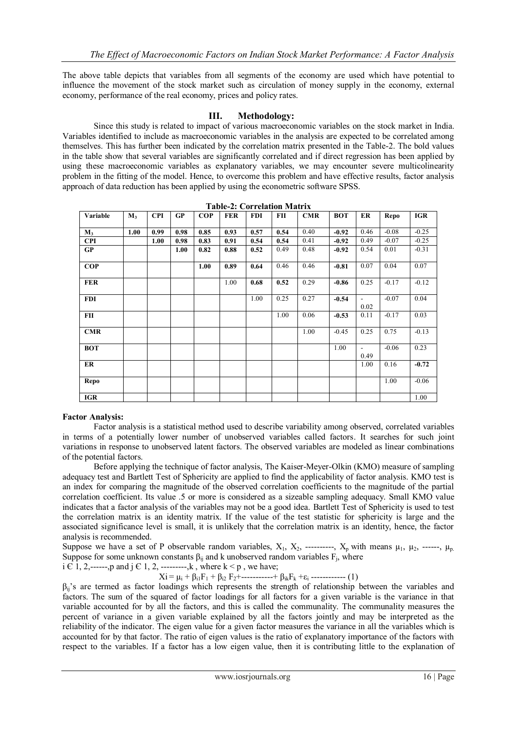The above table depicts that variables from all segments of the economy are used which have potential to influence the movement of the stock market such as circulation of money supply in the economy, external economy, performance of the real economy, prices and policy rates.

## **III. Methodology:**

Since this study is related to impact of various macroeconomic variables on the stock market in India. Variables identified to include as macroeconomic variables in the analysis are expected to be correlated among themselves. This has further been indicated by the correlation matrix presented in the Table-2. The bold values in the table show that several variables are significantly correlated and if direct regression has been applied by using these macroeconomic variables as explanatory variables, we may encounter severe multicolinearity problem in the fitting of the model. Hence, to overcome this problem and have effective results, factor analysis approach of data reduction has been applied by using the econometric software SPSS.

| Variable   | $M_3$ | <b>CPI</b> | GP   | <b>COP</b> | <b>FER</b> | <b>FDI</b> | <b>FII</b> | CMR  | <b>BOT</b> | ER                               | Repo    | <b>IGR</b> |
|------------|-------|------------|------|------------|------------|------------|------------|------|------------|----------------------------------|---------|------------|
|            |       |            |      |            |            |            |            |      |            |                                  |         |            |
| $M_3$      | 1.00  | 0.99       | 0.98 | 0.85       | 0.93       | 0.57       | 0.54       | 0.40 | $-0.92$    | 0.46                             | $-0.08$ | $-0.25$    |
| <b>CPI</b> |       | 1.00       | 0.98 | 0.83       | 0.91       | 0.54       | 0.54       | 0.41 | $-0.92$    | 0.49                             | $-0.07$ | $-0.25$    |
| GP         |       |            | 1.00 | 0.82       | 0.88       | 0.52       | 0.49       | 0.48 | $-0.92$    | 0.54                             | 0.01    | $-0.31$    |
| <b>COP</b> |       |            |      | 1.00       | 0.89       | 0.64       | 0.46       | 0.46 | $-0.81$    | 0.07                             | 0.04    | 0.07       |
| <b>FER</b> |       |            |      |            | 1.00       | 0.68       | 0.52       | 0.29 | $-0.86$    | 0.25                             | $-0.17$ | $-0.12$    |
| <b>FDI</b> |       |            |      |            |            | 1.00       | 0.25       | 0.27 | $-0.54$    | $\overline{\phantom{a}}$<br>0.02 | $-0.07$ | 0.04       |
| FII        |       |            |      |            |            |            | 1.00       | 0.06 | $-0.53$    | 0.11                             | $-0.17$ | 0.03       |
| <b>CMR</b> |       |            |      |            |            |            |            | 1.00 | $-0.45$    | 0.25                             | 0.75    | $-0.13$    |
| <b>BOT</b> |       |            |      |            |            |            |            |      | 1.00       | $\blacksquare$<br>0.49           | $-0.06$ | 0.23       |
| ER         |       |            |      |            |            |            |            |      |            | 1.00                             | 0.16    | $-0.72$    |
| Repo       |       |            |      |            |            |            |            |      |            |                                  | 1.00    | $-0.06$    |
| <b>IGR</b> |       |            |      |            |            |            |            |      |            |                                  |         | 1.00       |

| <b>Table-2: Correlation Matrix</b> |  |
|------------------------------------|--|
|                                    |  |

## **Factor Analysis:**

Factor analysis is a statistical method used to describe variability among observed, correlated variables in terms of a potentially lower number of unobserved variables called factors. It searches for such joint variations in response to unobserved latent factors. The observed variables are modeled as linear combinations of the potential factors.

Before applying the technique of factor analysis, The Kaiser-Meyer-Olkin (KMO) measure of sampling adequacy test and Bartlett Test of Sphericity are applied to find the applicability of factor analysis. KMO test is an index for comparing the magnitude of the observed correlation coefficients to the magnitude of the partial correlation coefficient. Its value .5 or more is considered as a sizeable sampling adequacy. Small KMO value indicates that a factor analysis of the variables may not be a good idea. Bartlett Test of Sphericity is used to test the correlation matrix is an identity matrix. If the value of the test statistic for sphericity is large and the associated significance level is small, it is unlikely that the correlation matrix is an identity, hence, the factor analysis is recommended.

Suppose we have a set of P observable random variables,  $X_1, X_2,$  ---------,  $X_p$  with means  $\mu_1, \mu_2,$  -----,  $\mu_p$ . Suppose for some unknown constants  $\beta_{ij}$  and k unobserved random variables  $F_j$ , where

i  $\vec{c}$  1, 2,------,p and j  $\in$  1, 2, ---------,k, where k < p, we have;

 $Xi = \mu_i + \beta_{i1}F_1 + \beta_{i2}F_2 + \dots + \beta_{ik}F_k + \varepsilon_i$  ------------ (1)

 $β_{ii}$ 's are termed as factor loadings which represents the strength of relationship between the variables and factors. The sum of the squared of factor loadings for all factors for a given variable is the variance in that variable accounted for by all the factors, and this is called the communality. The communality measures the percent of variance in a given variable explained by all the factors jointly and may be interpreted as the reliability of the indicator. The eigen value for a given factor measures the variance in all the variables which is accounted for by that factor. The ratio of eigen values is the ratio of explanatory importance of the factors with respect to the variables. If a factor has a low eigen value, then it is contributing little to the explanation of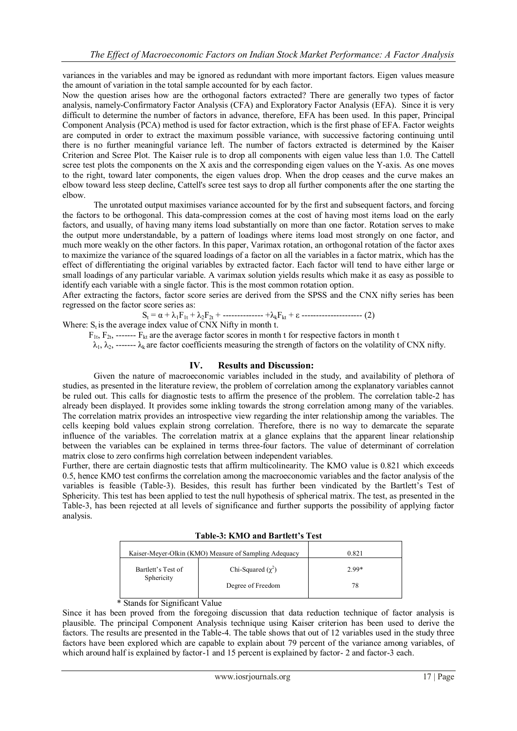variances in the variables and may be ignored as redundant with more important factors. Eigen values measure the amount of variation in the total sample accounted for by each factor.

Now the question arises how are the orthogonal factors extracted? There are generally two types of factor analysis, namely-Confirmatory Factor Analysis (CFA) and Exploratory Factor Analysis (EFA). Since it is very difficult to determine the number of factors in advance, therefore, EFA has been used. In this paper, Principal Component Analysis (PCA) method is used for factor extraction, which is the first phase of EFA. Factor weights are computed in order to extract the maximum possible variance, with successive factoring continuing until there is no further meaningful variance left. The number of factors extracted is determined by the Kaiser Criterion and Scree Plot. The Kaiser rule is to drop all components with eigen value less than 1.0. The Cattell scree test plots the components on the X axis and the corresponding eigen values on the Y-axis. As one moves to the right, toward later components, the eigen values drop. When the drop ceases and the curve makes an elbow toward less steep decline, Cattell's scree test says to drop all further components after the one starting the elbow.

The unrotated output maximises variance accounted for by the first and subsequent factors, and forcing the factors to be orthogonal. This data-compression comes at the cost of having most items load on the early factors, and usually, of having many items load substantially on more than one factor. Rotation serves to make the output more understandable, by a pattern of loadings where items load most strongly on one factor, and much more weakly on the other factors. In this paper, Varimax rotation, an orthogonal rotation of the factor axes to maximize the variance of the squared loadings of a factor on all the variables in a factor matrix, which has the effect of differentiating the original variables by extracted factor. Each factor will tend to have either large or small loadings of any particular variable. A varimax solution yields results which make it as easy as possible to identify each variable with a single factor. This is the most common rotation option.

After extracting the factors, factor score series are derived from the SPSS and the CNX nifty series has been regressed on the factor score series as:

S<sup>t</sup> = α + λ1F1t + λ2F2t + -------------- +λkFkt + ε --------------------- (2)

Where:  $S_t$  is the average index value of CNX Nifty in month t.

 $F_{1t}$ ,  $F_{2t}$ , -------  $F_{kt}$  are the average factor scores in month t for respective factors in month t

 $\lambda_1, \lambda_2, \ldots$   $\lambda_k$  are factor coefficients measuring the strength of factors on the volatility of CNX nifty.

#### **IV. Results and Discussion:**

Given the nature of macroeconomic variables included in the study, and availability of plethora of studies, as presented in the literature review, the problem of correlation among the explanatory variables cannot be ruled out. This calls for diagnostic tests to affirm the presence of the problem. The correlation table-2 has already been displayed. It provides some inkling towards the strong correlation among many of the variables. The correlation matrix provides an introspective view regarding the inter relationship among the variables. The cells keeping bold values explain strong correlation. Therefore, there is no way to demarcate the separate influence of the variables. The correlation matrix at a glance explains that the apparent linear relationship between the variables can be explained in terms three-four factors. The value of determinant of correlation matrix close to zero confirms high correlation between independent variables.

Further, there are certain diagnostic tests that affirm multicolinearity. The KMO value is 0.821 which exceeds 0.5, hence KMO test confirms the correlation among the macroeconomic variables and the factor analysis of the variables is feasible (Table-3). Besides, this result has further been vindicated by the Bartlett's Test of Sphericity. This test has been applied to test the null hypothesis of spherical matrix. The test, as presented in the Table-3, has been rejected at all levels of significance and further supports the possibility of applying factor analysis.

| Table-3: KMO and Bartlett's Test |  |  |  |  |  |
|----------------------------------|--|--|--|--|--|
|----------------------------------|--|--|--|--|--|

| Kaiser-Meyer-Olkin (KMO) Measure of Sampling Adequacy |         |  |  |  |
|-------------------------------------------------------|---------|--|--|--|
| Chi-Squared $(\chi^2)$                                | $2.99*$ |  |  |  |
| Degree of Freedom                                     | 78      |  |  |  |
|                                                       |         |  |  |  |

## \* Stands for Significant Value

Since it has been proved from the foregoing discussion that data reduction technique of factor analysis is plausible. The principal Component Analysis technique using Kaiser criterion has been used to derive the factors. The results are presented in the Table-4. The table shows that out of 12 variables used in the study three factors have been explored which are capable to explain about 79 percent of the variance among variables, of which around half is explained by factor-1 and 15 percent is explained by factor- 2 and factor-3 each.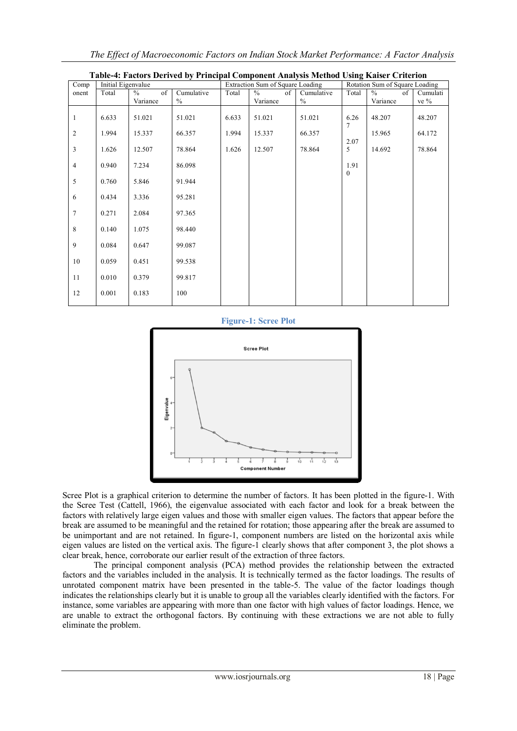*The Effect of Macroeconomic Factors on Indian Stock Market Performance: A Factor Analysis* 

| Comp           | Initial Eigenvalue |                     |               |       | Extraction Sum of Square Loading |               |              | Rotation Sum of Square Loading |          |
|----------------|--------------------|---------------------|---------------|-------|----------------------------------|---------------|--------------|--------------------------------|----------|
| onent          | Total              | $\frac{0}{0}$<br>of | Cumulative    | Total | $\frac{0}{0}$<br>of              | Cumulative    | Total        | $\frac{0}{0}$<br>of            | Cumulati |
|                |                    | Variance            | $\frac{0}{0}$ |       | Variance                         | $\frac{0}{0}$ |              | Variance                       | ve %     |
| 1              | 6.633              | 51.021              | 51.021        | 6.633 | 51.021                           | 51.021        | 6.26<br>7    | 48.207                         | 48.207   |
| 2              | 1.994              | 15.337              | 66.357        | 1.994 | 15.337                           | 66.357        | 2.07         | 15.965                         | 64.172   |
| 3              | 1.626              | 12.507              | 78.864        | 1.626 | 12.507                           | 78.864        | 5            | 14.692                         | 78.864   |
| $\overline{4}$ | 0.940              | 7.234               | 86.098        |       |                                  |               | 1.91         |                                |          |
| 5              | 0.760              | 5.846               | 91.944        |       |                                  |               | $\mathbf{0}$ |                                |          |
| 6              | 0.434              | 3.336               | 95.281        |       |                                  |               |              |                                |          |
| $\tau$         | 0.271              | 2.084               | 97.365        |       |                                  |               |              |                                |          |
| $\,8\,$        | 0.140              | 1.075               | 98.440        |       |                                  |               |              |                                |          |
| 9              | 0.084              | 0.647               | 99.087        |       |                                  |               |              |                                |          |
| 10             | 0.059              | 0.451               | 99.538        |       |                                  |               |              |                                |          |
| 11             | 0.010              | 0.379               | 99.817        |       |                                  |               |              |                                |          |
| 12             | 0.001              | 0.183               | 100           |       |                                  |               |              |                                |          |





Scree Plot is a graphical criterion to determine the number of factors. It has been plotted in the figure-1. With the Scree Test (Cattell, 1966), the eigenvalue associated with each factor and look for a break between the factors with relatively large eigen values and those with smaller eigen values. The factors that appear before the break are assumed to be meaningful and the retained for rotation; those appearing after the break are assumed to be unimportant and are not retained. In figure-1, component numbers are listed on the horizontal axis while eigen values are listed on the vertical axis. The figure-1 clearly shows that after component 3, the plot shows a clear break, hence, corroborate our earlier result of the extraction of three factors.

The principal component analysis (PCA) method provides the relationship between the extracted factors and the variables included in the analysis. It is technically termed as the factor loadings. The results of unrotated component matrix have been presented in the table-5. The value of the factor loadings though indicates the relationships clearly but it is unable to group all the variables clearly identified with the factors. For instance, some variables are appearing with more than one factor with high values of factor loadings. Hence, we are unable to extract the orthogonal factors. By continuing with these extractions we are not able to fully eliminate the problem.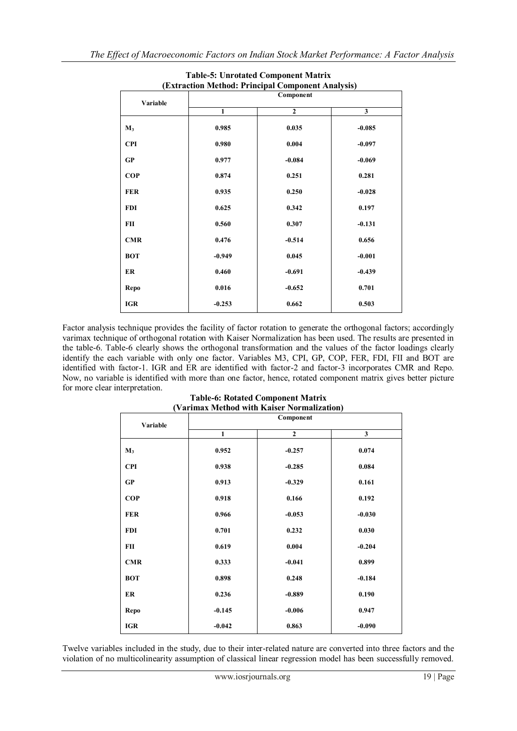| (Extraction Method: Principal Component Analysis) |              |                |              |  |  |  |  |
|---------------------------------------------------|--------------|----------------|--------------|--|--|--|--|
| Variable                                          | Component    |                |              |  |  |  |  |
|                                                   | $\mathbf{1}$ | $\overline{2}$ | $\mathbf{3}$ |  |  |  |  |
| $M_3$                                             | 0.985        | 0.035          | $-0.085$     |  |  |  |  |
| <b>CPI</b>                                        | 0.980        | 0.004          | $-0.097$     |  |  |  |  |
| GP                                                | 0.977        | $-0.084$       | $-0.069$     |  |  |  |  |
| <b>COP</b>                                        | 0.874        | 0.251          | 0.281        |  |  |  |  |
| <b>FER</b>                                        | 0.935        | 0.250          | $-0.028$     |  |  |  |  |
| <b>FDI</b>                                        | 0.625        | 0.342          | 0.197        |  |  |  |  |
| FII                                               | 0.560        | 0.307          | $-0.131$     |  |  |  |  |
| <b>CMR</b>                                        | 0.476        | $-0.514$       | 0.656        |  |  |  |  |
| <b>BOT</b>                                        | $-0.949$     | 0.045          | $-0.001$     |  |  |  |  |
| ER                                                | 0.460        | $-0.691$       | $-0.439$     |  |  |  |  |
| Repo                                              | 0.016        | $-0.652$       | 0.701        |  |  |  |  |
| <b>IGR</b>                                        | $-0.253$     | 0.662          | 0.503        |  |  |  |  |

# **Table-5: Unrotated Component Matrix**

Factor analysis technique provides the facility of factor rotation to generate the orthogonal factors; accordingly varimax technique of orthogonal rotation with Kaiser Normalization has been used. The results are presented in the table-6. Table-6 clearly shows the orthogonal transformation and the values of the factor loadings clearly identify the each variable with only one factor. Variables M3, CPI, GP, COP, FER, FDI, FII and BOT are identified with factor-1. IGR and ER are identified with factor-2 and factor-3 incorporates CMR and Repo. Now, no variable is identified with more than one factor, hence, rotated component matrix gives better picture for more clear interpretation.

| (Varimax Method with Kaiser Normalization) |              |                |                         |  |  |  |  |
|--------------------------------------------|--------------|----------------|-------------------------|--|--|--|--|
|                                            | Component    |                |                         |  |  |  |  |
| Variable                                   | $\mathbf{1}$ | $\overline{2}$ | $\overline{\mathbf{3}}$ |  |  |  |  |
|                                            |              |                |                         |  |  |  |  |
| $M_3$                                      | 0.952        | $-0.257$       | 0.074                   |  |  |  |  |
| <b>CPI</b>                                 | 0.938        | $-0.285$       | 0.084                   |  |  |  |  |
| GP                                         | 0.913        | $-0.329$       | 0.161                   |  |  |  |  |
| <b>COP</b>                                 | 0.918        | 0.166          | 0.192                   |  |  |  |  |
| <b>FER</b>                                 | 0.966        | $-0.053$       | $-0.030$                |  |  |  |  |
| <b>FDI</b>                                 | 0.701        | 0.232          | 0.030                   |  |  |  |  |
| FII                                        | 0.619        | 0.004          | $-0.204$                |  |  |  |  |
| <b>CMR</b>                                 | 0.333        | $-0.041$       | 0.899                   |  |  |  |  |
| <b>BOT</b>                                 | 0.898        | 0.248          | $-0.184$                |  |  |  |  |
| ER                                         | 0.236        | $-0.889$       | 0.190                   |  |  |  |  |
| Repo                                       | $-0.145$     | $-0.006$       | 0.947                   |  |  |  |  |
| <b>IGR</b>                                 | $-0.042$     | 0.863          | $-0.090$                |  |  |  |  |

# **Table-6: Rotated Component Matrix (Varimax Method with Kaiser Normalization)**

Twelve variables included in the study, due to their inter-related nature are converted into three factors and the violation of no multicolinearity assumption of classical linear regression model has been successfully removed.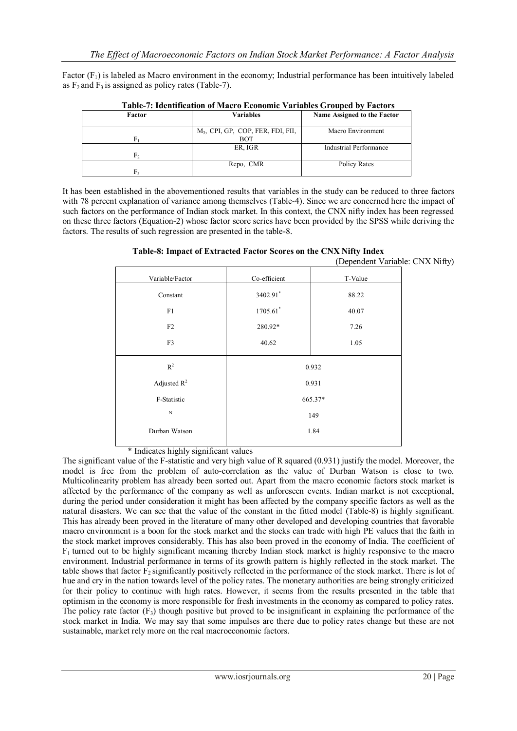Factor  $(F_1)$  is labeled as Macro environment in the economy; Industrial performance has been intuitively labeled as  $F_2$  and  $F_3$  is assigned as policy rates (Table-7).

| Table 7. Inchinication of macro economic variables Grouped by Pactors |                                               |                             |  |  |  |  |
|-----------------------------------------------------------------------|-----------------------------------------------|-----------------------------|--|--|--|--|
| Factor                                                                | Variables                                     | Name Assigned to the Factor |  |  |  |  |
|                                                                       | M <sub>3</sub> , CPI, GP, COP, FER, FDI, FII, | Macro Environment           |  |  |  |  |
| Fı                                                                    | <b>BOT</b><br>ER, IGR                         | Industrial Performance      |  |  |  |  |
| F,                                                                    |                                               |                             |  |  |  |  |
|                                                                       | Repo, CMR                                     | Policy Rates                |  |  |  |  |
| F,                                                                    |                                               |                             |  |  |  |  |

**Table-7: Identification of Macro Economic Variables Grouped by Factors**

It has been established in the abovementioned results that variables in the study can be reduced to three factors with 78 percent explanation of variance among themselves (Table-4). Since we are concerned here the impact of such factors on the performance of Indian stock market. In this context, the CNX nifty index has been regressed on these three factors (Equation-2) whose factor score series have been provided by the SPSS while deriving the factors. The results of such regression are presented in the table-8.

|                 |              | $\mathcal{L}$ - $\mathcal{L}$ |  |  |  |
|-----------------|--------------|-------------------------------|--|--|--|
| Variable/Factor | Co-efficient | T-Value                       |  |  |  |
| Constant        | 3402.91*     | 88.22                         |  |  |  |
| F1              | 1705.61*     | 40.07                         |  |  |  |
| F2              | 280.92*      | 7.26                          |  |  |  |
| F3              | 40.62        | 1.05                          |  |  |  |
| $R^2$           | 0.932        |                               |  |  |  |
| Adjusted $R^2$  | 0.931        |                               |  |  |  |
| F-Statistic     | 665.37*      |                               |  |  |  |
| $_{\rm N}$      | 149          |                               |  |  |  |
| Durban Watson   | 1.84         |                               |  |  |  |
|                 |              |                               |  |  |  |

**Table-8: Impact of Extracted Factor Scores on the CNX Nifty Index** (Dependent Variable: CNX Nifty)

\* Indicates highly significant values

The significant value of the F-statistic and very high value of R squared (0.931) justify the model. Moreover, the model is free from the problem of auto-correlation as the value of Durban Watson is close to two. Multicolinearity problem has already been sorted out. Apart from the macro economic factors stock market is affected by the performance of the company as well as unforeseen events. Indian market is not exceptional, during the period under consideration it might has been affected by the company specific factors as well as the natural disasters. We can see that the value of the constant in the fitted model (Table-8) is highly significant. This has already been proved in the literature of many other developed and developing countries that favorable macro environment is a boon for the stock market and the stocks can trade with high PE values that the faith in the stock market improves considerably. This has also been proved in the economy of India. The coefficient of  $F_1$  turned out to be highly significant meaning thereby Indian stock market is highly responsive to the macro environment. Industrial performance in terms of its growth pattern is highly reflected in the stock market. The table shows that factor  $F_2$  significantly positively reflected in the performance of the stock market. There is lot of hue and cry in the nation towards level of the policy rates. The monetary authorities are being strongly criticized for their policy to continue with high rates. However, it seems from the results presented in the table that optimism in the economy is more responsible for fresh investments in the economy as compared to policy rates. The policy rate factor  $(F_3)$  though positive but proved to be insignificant in explaining the performance of the stock market in India. We may say that some impulses are there due to policy rates change but these are not sustainable, market rely more on the real macroeconomic factors.